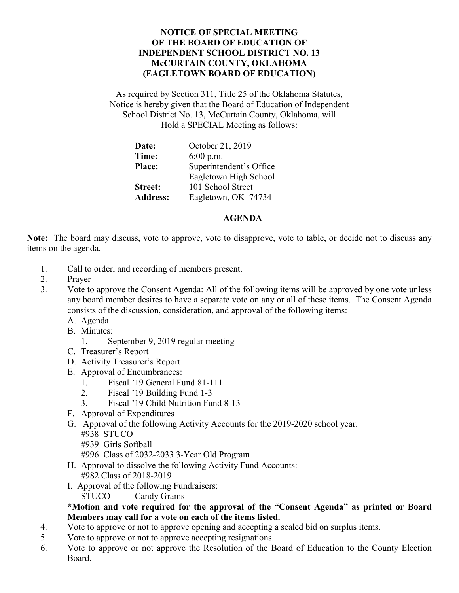## **NOTICE OF SPECIAL MEETING OF THE BOARD OF EDUCATION OF INDEPENDENT SCHOOL DISTRICT NO. 13 McCURTAIN COUNTY, OKLAHOMA (EAGLETOWN BOARD OF EDUCATION)**

As required by Section 311, Title 25 of the Oklahoma Statutes, Notice is hereby given that the Board of Education of Independent School District No. 13, McCurtain County, Oklahoma, will Hold a SPECIAL Meeting as follows:

| Date:           | October 21, 2019        |
|-----------------|-------------------------|
| Time:           | $6:00$ p.m.             |
| <b>Place:</b>   | Superintendent's Office |
|                 | Eagletown High School   |
| <b>Street:</b>  | 101 School Street       |
| <b>Address:</b> | Eagletown, OK 74734     |

## **AGENDA**

**Note:** The board may discuss, vote to approve, vote to disapprove, vote to table, or decide not to discuss any items on the agenda.

- 1. Call to order, and recording of members present.
- 2. Prayer
- 3. Vote to approve the Consent Agenda: All of the following items will be approved by one vote unless any board member desires to have a separate vote on any or all of these items. The Consent Agenda consists of the discussion, consideration, and approval of the following items:
	- A. Agenda
	- B. Minutes:
		- 1. September 9, 2019 regular meeting
	- C. Treasurer's Report
	- D. Activity Treasurer's Report
	- E. Approval of Encumbrances:
		- 1. Fiscal '19 General Fund 81-111
		- 2. Fiscal '19 Building Fund 1-3
		- 3. Fiscal '19 Child Nutrition Fund 8-13
	- F. Approval of Expenditures
	- G. Approval of the following Activity Accounts for the 2019-2020 school year. #938 STUCO
		- #939 Girls Softball

#996 Class of 2032-2033 3-Year Old Program

- H. Approval to dissolve the following Activity Fund Accounts: #982 Class of 2018-2019
- I. Approval of the following Fundraisers:

STUCO Candy Grams

## **\*Motion and vote required for the approval of the "Consent Agenda" as printed or Board Members may call for a vote on each of the items listed.**

- 4. Vote to approve or not to approve opening and accepting a sealed bid on surplus items.
- 5. Vote to approve or not to approve accepting resignations.
- 6. Vote to approve or not approve the Resolution of the Board of Education to the County Election Board.